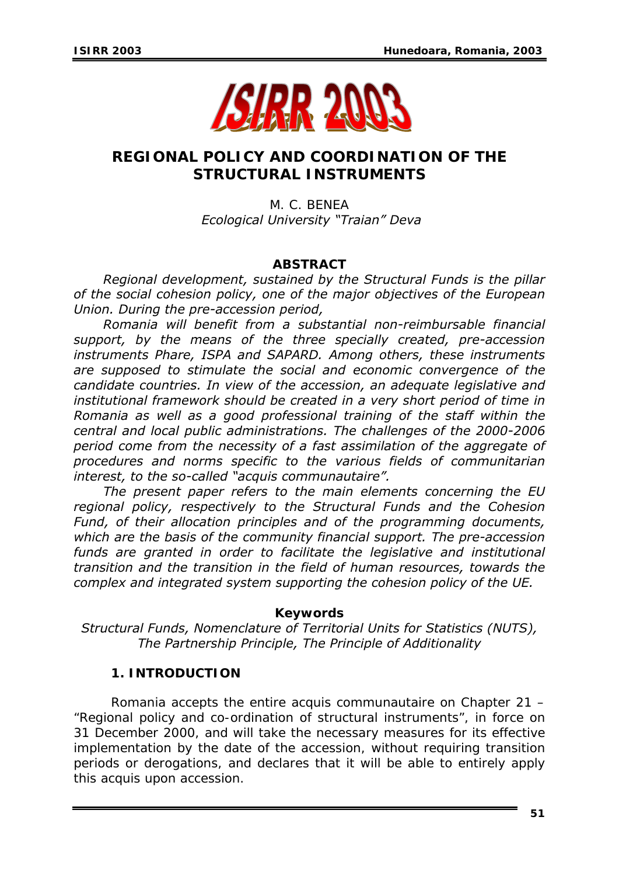

# **REGIONAL POLICY AND COORDINATION OF THE STRUCTURAL INSTRUMENTS**

M. C. BENEA *Ecological University "Traian" Deva* 

# *ABSTRACT*

*Regional development, sustained by the Structural Funds is the pillar of the social cohesion policy, one of the major objectives of the European Union. During the pre-accession period,* 

*Romania will benefit from a substantial non-reimbursable financial support, by the means of the three specially created, pre-accession instruments Phare, ISPA and SAPARD. Among others, these instruments are supposed to stimulate the social and economic convergence of the candidate countries. In view of the accession, an adequate legislative and institutional framework should be created in a very short period of time in Romania as well as a good professional training of the staff within the central and local public administrations. The challenges of the 2000-2006 period come from the necessity of a fast assimilation of the aggregate of procedures and norms specific to the various fields of communitarian interest, to the so-called "acquis communautaire".* 

*The present paper refers to the main elements concerning the EU regional policy, respectively to the Structural Funds and the Cohesion Fund, of their allocation principles and of the programming documents, which are the basis of the community financial support. The pre-accession funds are granted in order to facilitate the legislative and institutional transition and the transition in the field of human resources, towards the complex and integrated system supporting the cohesion policy of the UE.* 

#### *Keywords*

*Structural Funds, Nomenclature of Territorial Units for Statistics (NUTS), The Partnership Principle, The Principle of Additionality* 

# **1. INTRODUCTION**

Romania accepts the entire acquis communautaire on Chapter 21 – "Regional policy and co-ordination of structural instruments", in force on 31 December 2000, and will take the necessary measures for its effective implementation by the date of the accession, without requiring transition periods or derogations, and declares that it will be able to entirely apply this acquis upon accession.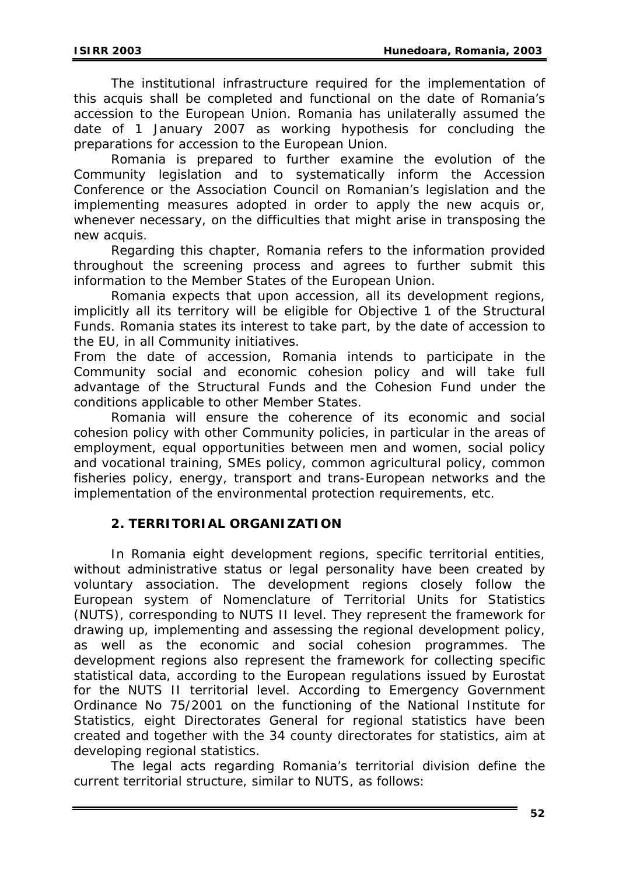The institutional infrastructure required for the implementation of this acquis shall be completed and functional on the date of Romania's accession to the European Union. Romania has unilaterally assumed the date of 1 January 2007 as working hypothesis for concluding the preparations for accession to the European Union.

Romania is prepared to further examine the evolution of the Community legislation and to systematically inform the Accession Conference or the Association Council on Romanian's legislation and the implementing measures adopted in order to apply the new acquis or, whenever necessary, on the difficulties that might arise in transposing the new acquis.

Regarding this chapter, Romania refers to the information provided throughout the screening process and agrees to further submit this information to the Member States of the European Union.

Romania expects that upon accession, all its development regions, implicitly all its territory will be eligible for Objective 1 of the Structural Funds. Romania states its interest to take part, by the date of accession to the EU, in all Community initiatives.

From the date of accession, Romania intends to participate in the Community social and economic cohesion policy and will take full advantage of the Structural Funds and the Cohesion Fund under the conditions applicable to other Member States.

Romania will ensure the coherence of its economic and social cohesion policy with other Community policies, in particular in the areas of employment, equal opportunities between men and women, social policy and vocational training, SMEs policy, common agricultural policy, common fisheries policy, energy, transport and trans-European networks and the implementation of the environmental protection requirements, etc.

#### **2. TERRITORIAL ORGANIZATION**

In Romania eight development regions, specific territorial entities, without administrative status or legal personality have been created by voluntary association. The development regions closely follow the European system of Nomenclature of Territorial Units for Statistics (NUTS), corresponding to NUTS II level. They represent the framework for drawing up, implementing and assessing the regional development policy, as well as the economic and social cohesion programmes. The development regions also represent the framework for collecting specific statistical data, according to the European regulations issued by Eurostat for the NUTS II territorial level. According to Emergency Government Ordinance No 75/2001 on the functioning of the National Institute for Statistics, eight Directorates General for regional statistics have been created and together with the 34 county directorates for statistics, aim at developing regional statistics.

The legal acts regarding Romania's territorial division define the current territorial structure, similar to NUTS, as follows: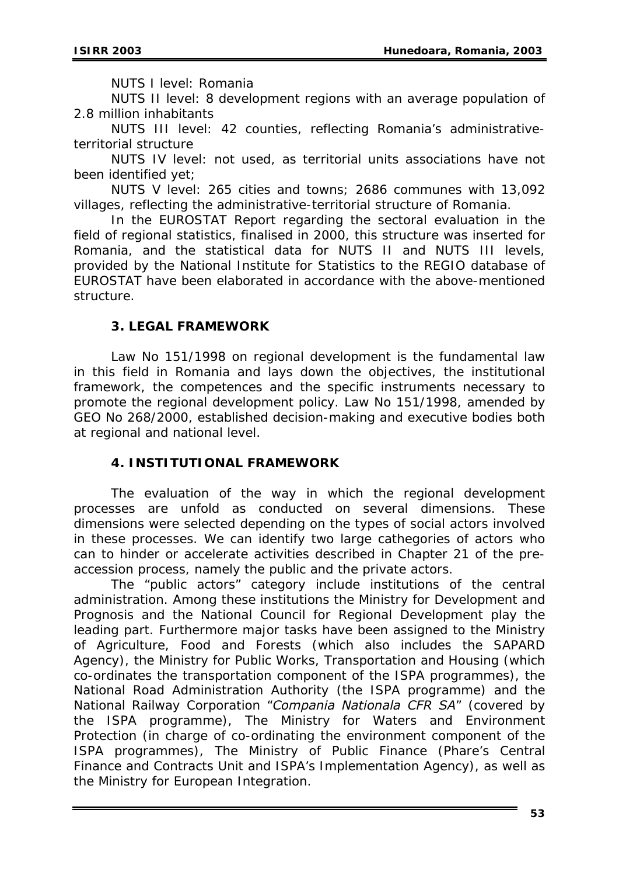NUTS I level: Romania

NUTS II level: 8 development regions with an average population of 2.8 million inhabitants

NUTS III level: 42 counties, reflecting Romania's administrativeterritorial structure

NUTS IV level: not used, as territorial units associations have not been identified yet;

NUTS V level: 265 cities and towns; 2686 communes with 13,092 villages, reflecting the administrative-territorial structure of Romania.

In the EUROSTAT Report regarding the sectoral evaluation in the field of regional statistics, finalised in 2000, this structure was inserted for Romania, and the statistical data for NUTS II and NUTS III levels, provided by the National Institute for Statistics to the REGIO database of EUROSTAT have been elaborated in accordance with the above-mentioned structure.

#### **3. LEGAL FRAMEWORK**

Law No 151/1998 on regional development is the fundamental law in this field in Romania and lays down the objectives, the institutional framework, the competences and the specific instruments necessary to promote the regional development policy. Law No 151/1998, amended by GEO No 268/2000, established decision-making and executive bodies both at regional and national level.

# **4. INSTITUTIONAL FRAMEWORK**

The evaluation of the way in which the regional development processes are unfold as conducted on several dimensions. These dimensions were selected depending on the types of social actors involved in these processes. We can identify two large cathegories of actors who can to hinder or accelerate activities described in Chapter 21 of the preaccession process, namely the public and the private actors.

The "public actors" category include institutions of the central administration. Among these institutions the Ministry for Development and Prognosis and the National Council for Regional Development play the leading part. Furthermore major tasks have been assigned to the Ministry of Agriculture, Food and Forests (which also includes the SAPARD Agency), the Ministry for Public Works, Transportation and Housing (which co-ordinates the transportation component of the ISPA programmes), the National Road Administration Authority (the ISPA programme) and the National Railway Corporation "*Compania Nationala CFR SA*" (covered by the ISPA programme), The Ministry for Waters and Environment Protection (in charge of co-ordinating the environment component of the ISPA programmes), The Ministry of Public Finance (Phare's Central Finance and Contracts Unit and ISPA's Implementation Agency), as well as the Ministry for European Integration.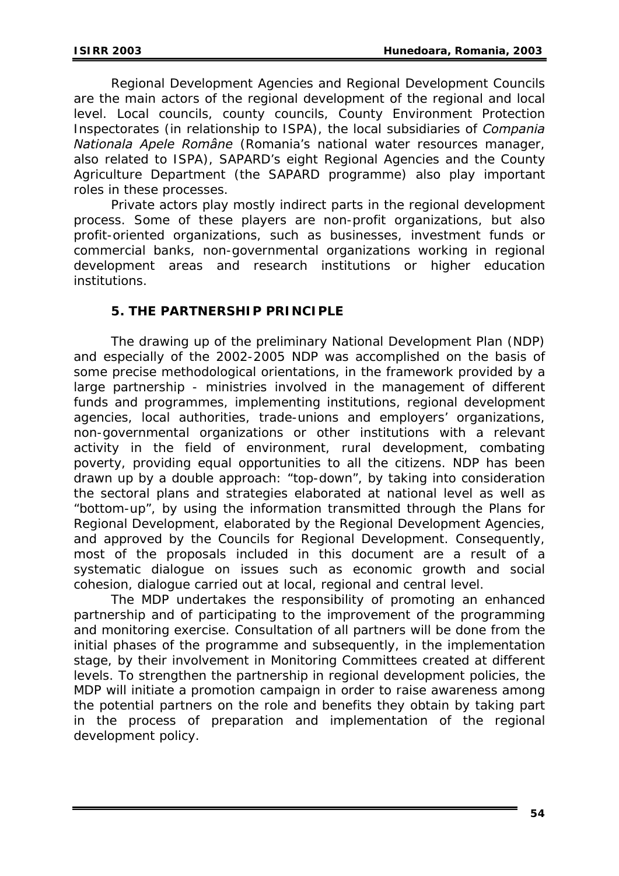Regional Development Agencies and Regional Development Councils are the main actors of the regional development of the regional and local level. Local councils, county councils, County Environment Protection Inspectorates (in relationship to ISPA), the local subsidiaries of *Compania Nationala Apele Române* (Romania's national water resources manager, also related to ISPA), SAPARD's eight Regional Agencies and the County Agriculture Department (the SAPARD programme) also play important roles in these processes.

Private actors play mostly indirect parts in the regional development process. Some of these players are non-profit organizations, but also profit-oriented organizations, such as businesses, investment funds or commercial banks, non-governmental organizations working in regional development areas and research institutions or higher education institutions.

# **5. THE PARTNERSHIP PRINCIPLE**

The drawing up of the preliminary National Development Plan (NDP) and especially of the 2002-2005 NDP was accomplished on the basis of some precise methodological orientations, in the framework provided by a large partnership - ministries involved in the management of different funds and programmes, implementing institutions, regional development agencies, local authorities, trade-unions and employers' organizations, non-governmental organizations or other institutions with a relevant activity in the field of environment, rural development, combating poverty, providing equal opportunities to all the citizens. NDP has been drawn up by a double approach: "top-down", by taking into consideration the sectoral plans and strategies elaborated at national level as well as "bottom-up", by using the information transmitted through the Plans for Regional Development, elaborated by the Regional Development Agencies, and approved by the Councils for Regional Development. Consequently, most of the proposals included in this document are a result of a systematic dialogue on issues such as economic growth and social cohesion, dialogue carried out at local, regional and central level.

The MDP undertakes the responsibility of promoting an enhanced partnership and of participating to the improvement of the programming and monitoring exercise. Consultation of all partners will be done from the initial phases of the programme and subsequently, in the implementation stage, by their involvement in Monitoring Committees created at different levels. To strengthen the partnership in regional development policies, the MDP will initiate a promotion campaign in order to raise awareness among the potential partners on the role and benefits they obtain by taking part in the process of preparation and implementation of the regional development policy.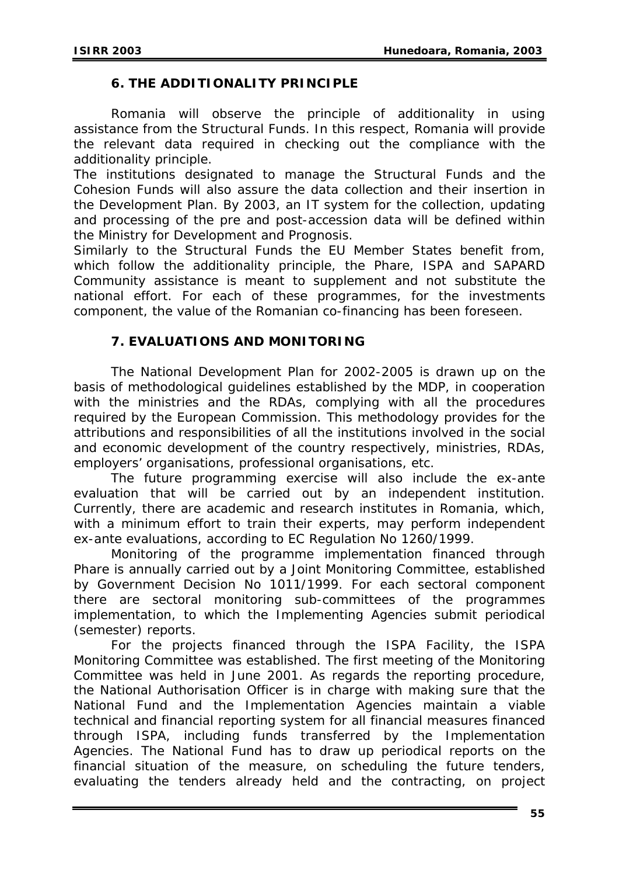#### **6. THE ADDITIONALITY PRINCIPLE**

Romania will observe the principle of additionality in using assistance from the Structural Funds. In this respect, Romania will provide the relevant data required in checking out the compliance with the additionality principle.

The institutions designated to manage the Structural Funds and the Cohesion Funds will also assure the data collection and their insertion in the Development Plan. By 2003, an IT system for the collection, updating and processing of the pre and post-accession data will be defined within the Ministry for Development and Prognosis.

Similarly to the Structural Funds the EU Member States benefit from, which follow the additionality principle, the Phare, ISPA and SAPARD Community assistance is meant to supplement and not substitute the national effort. For each of these programmes, for the investments component, the value of the Romanian co-financing has been foreseen.

#### **7. EVALUATIONS AND MONITORING**

The National Development Plan for 2002-2005 is drawn up on the basis of methodological guidelines established by the MDP, in cooperation with the ministries and the RDAs, complying with all the procedures required by the European Commission. This methodology provides for the attributions and responsibilities of all the institutions involved in the social and economic development of the country respectively, ministries, RDAs, employers' organisations, professional organisations, etc.

The future programming exercise will also include the ex-ante evaluation that will be carried out by an independent institution. Currently, there are academic and research institutes in Romania, which, with a minimum effort to train their experts, may perform independent ex-ante evaluations, according to EC Regulation No 1260/1999.

Monitoring of the programme implementation financed through Phare is annually carried out by a Joint Monitoring Committee, established by Government Decision No 1011/1999. For each sectoral component there are sectoral monitoring sub-committees of the programmes implementation, to which the Implementing Agencies submit periodical (semester) reports.

For the projects financed through the ISPA Facility, the ISPA Monitoring Committee was established. The first meeting of the Monitoring Committee was held in June 2001. As regards the reporting procedure, the National Authorisation Officer is in charge with making sure that the National Fund and the Implementation Agencies maintain a viable technical and financial reporting system for all financial measures financed through ISPA, including funds transferred by the Implementation Agencies. The National Fund has to draw up periodical reports on the financial situation of the measure, on scheduling the future tenders, evaluating the tenders already held and the contracting, on project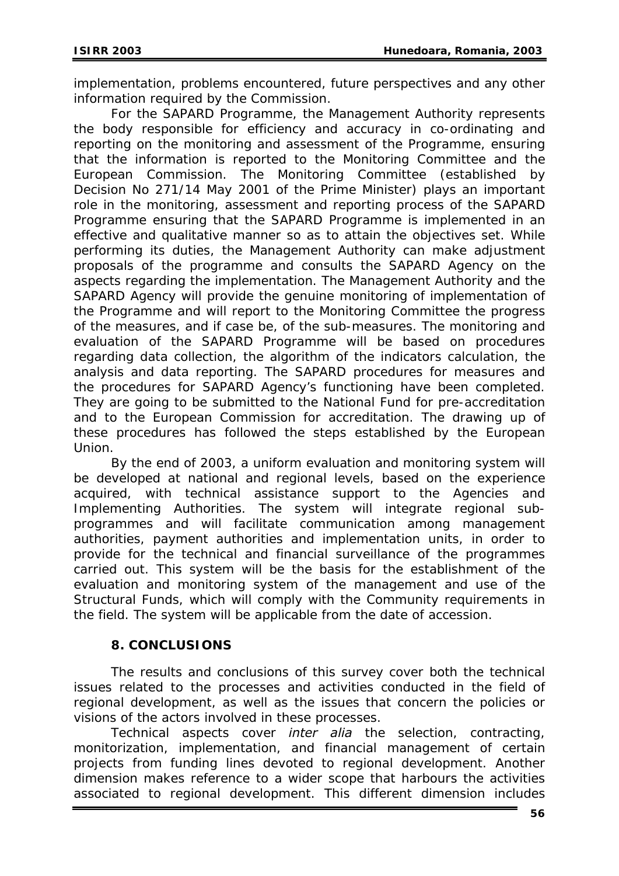implementation, problems encountered, future perspectives and any other information required by the Commission.

For the SAPARD Programme, the Management Authority represents the body responsible for efficiency and accuracy in co-ordinating and reporting on the monitoring and assessment of the Programme, ensuring that the information is reported to the Monitoring Committee and the European Commission. The Monitoring Committee (established by Decision No 271/14 May 2001 of the Prime Minister) plays an important role in the monitoring, assessment and reporting process of the SAPARD Programme ensuring that the SAPARD Programme is implemented in an effective and qualitative manner so as to attain the objectives set. While performing its duties, the Management Authority can make adjustment proposals of the programme and consults the SAPARD Agency on the aspects regarding the implementation. The Management Authority and the SAPARD Agency will provide the genuine monitoring of implementation of the Programme and will report to the Monitoring Committee the progress of the measures, and if case be, of the sub-measures. The monitoring and evaluation of the SAPARD Programme will be based on procedures regarding data collection, the algorithm of the indicators calculation, the analysis and data reporting. The SAPARD procedures for measures and the procedures for SAPARD Agency's functioning have been completed. They are going to be submitted to the National Fund for pre-accreditation and to the European Commission for accreditation. The drawing up of these procedures has followed the steps established by the European Union.

By the end of 2003, a uniform evaluation and monitoring system will be developed at national and regional levels, based on the experience acquired, with technical assistance support to the Agencies and Implementing Authorities. The system will integrate regional subprogrammes and will facilitate communication among management authorities, payment authorities and implementation units, in order to provide for the technical and financial surveillance of the programmes carried out. This system will be the basis for the establishment of the evaluation and monitoring system of the management and use of the Structural Funds, which will comply with the Community requirements in the field. The system will be applicable from the date of accession.

# **8. CONCLUSIONS**

The results and conclusions of this survey cover both the technical issues related to the processes and activities conducted in the field of regional development, as well as the issues that concern the policies or visions of the actors involved in these processes.

Technical aspects cover *inter alia* the selection, contracting, monitorization, implementation, and financial management of certain projects from funding lines devoted to regional development. Another dimension makes reference to a wider scope that harbours the activities associated to regional development. This different dimension includes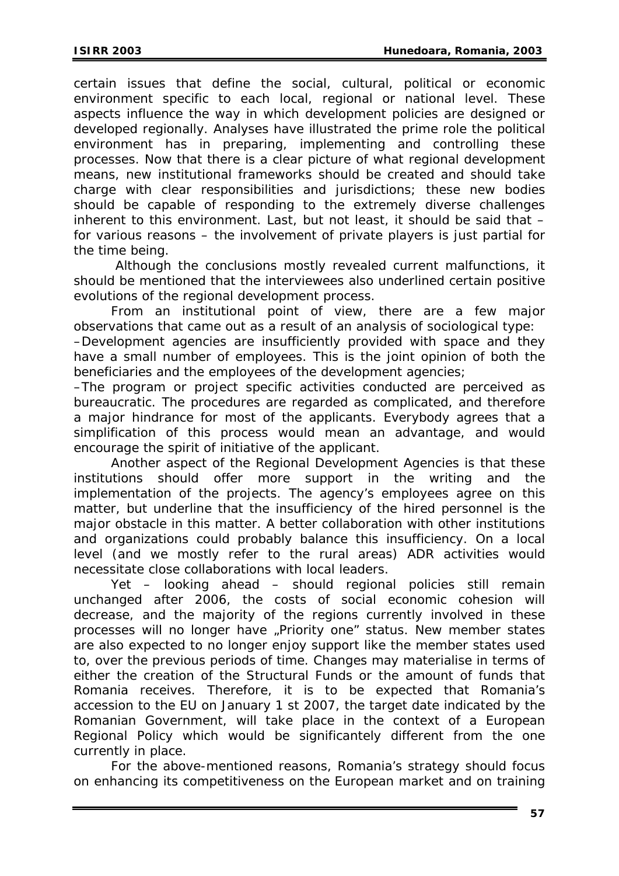certain issues that define the social, cultural, political or economic environment specific to each local, regional or national level. These aspects influence the way in which development policies are designed or developed regionally. Analyses have illustrated the prime role the political environment has in preparing, implementing and controlling these processes. Now that there is a clear picture of what regional development means, new institutional frameworks should be created and should take charge with clear responsibilities and jurisdictions; these new bodies should be capable of responding to the extremely diverse challenges inherent to this environment. Last, but not least, it should be said that – for various reasons – the involvement of private players is just partial for the time being.

 Although the conclusions mostly revealed current malfunctions, it should be mentioned that the interviewees also underlined certain positive evolutions of the regional development process.

From an institutional point of view, there are a few major observations that came out as a result of an analysis of sociological type: –Development agencies are insufficiently provided with space and they have a small number of employees. This is the joint opinion of both the beneficiaries and the employees of the development agencies;

–The program or project specific activities conducted are perceived as bureaucratic. The procedures are regarded as complicated, and therefore a major hindrance for most of the applicants. Everybody agrees that a simplification of this process would mean an advantage, and would encourage the spirit of initiative of the applicant.

Another aspect of the Regional Development Agencies is that these institutions should offer more support in the writing and the implementation of the projects. The agency's employees agree on this matter, but underline that the insufficiency of the hired personnel is the major obstacle in this matter. A better collaboration with other institutions and organizations could probably balance this insufficiency. On a local level (and we mostly refer to the rural areas) ADR activities would necessitate close collaborations with local leaders.

Yet – looking ahead – should regional policies still remain unchanged after 2006, the costs of social economic cohesion will decrease, and the majority of the regions currently involved in these processes will no longer have "Priority one" status. New member states are also expected to no longer enjoy support like the member states used to, over the previous periods of time. Changes may materialise in terms of either the creation of the Structural Funds or the amount of funds that Romania receives. Therefore, it is to be expected that Romania's accession to the EU on January 1 st 2007, the target date indicated by the Romanian Government, will take place in the context of a European Regional Policy which would be significantely different from the one currently in place.

For the above-mentioned reasons, Romania's strategy should focus on enhancing its competitiveness on the European market and on training